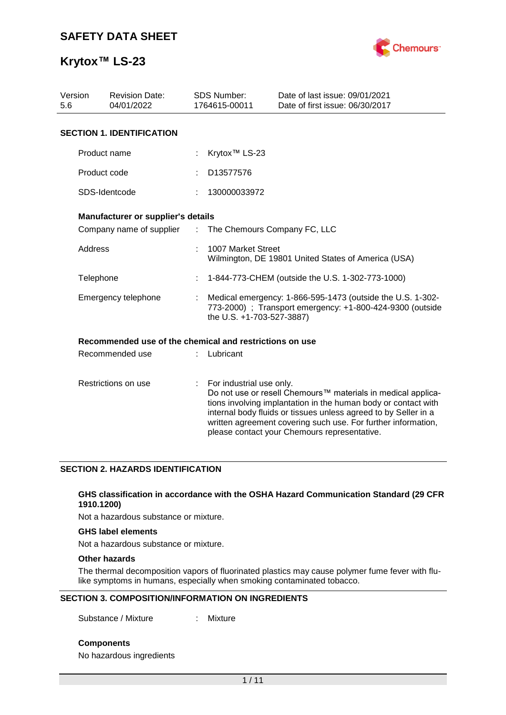

| Version<br>5.6      | <b>Revision Date:</b><br>04/01/2022                     |                       | <b>SDS Number:</b><br>1764615-00011                                                                                                                  | Date of last issue: 09/01/2021<br>Date of first issue: 06/30/2017                                                                                                                                                                                                                                                  |  |  |
|---------------------|---------------------------------------------------------|-----------------------|------------------------------------------------------------------------------------------------------------------------------------------------------|--------------------------------------------------------------------------------------------------------------------------------------------------------------------------------------------------------------------------------------------------------------------------------------------------------------------|--|--|
|                     | <b>SECTION 1. IDENTIFICATION</b>                        |                       |                                                                                                                                                      |                                                                                                                                                                                                                                                                                                                    |  |  |
|                     | Product name                                            |                       | Krytox <sup>™</sup> LS-23                                                                                                                            |                                                                                                                                                                                                                                                                                                                    |  |  |
|                     | Product code                                            |                       | D13577576                                                                                                                                            |                                                                                                                                                                                                                                                                                                                    |  |  |
|                     | SDS-Identcode                                           |                       | 130000033972                                                                                                                                         |                                                                                                                                                                                                                                                                                                                    |  |  |
|                     | Manufacturer or supplier's details                      |                       |                                                                                                                                                      |                                                                                                                                                                                                                                                                                                                    |  |  |
|                     | Company name of supplier                                | $\mathbb{Z}^{\times}$ | The Chemours Company FC, LLC                                                                                                                         |                                                                                                                                                                                                                                                                                                                    |  |  |
|                     | Address                                                 |                       | 1007 Market Street<br>Wilmington, DE 19801 United States of America (USA)                                                                            |                                                                                                                                                                                                                                                                                                                    |  |  |
|                     | Telephone                                               |                       | 1-844-773-CHEM (outside the U.S. 1-302-773-1000)                                                                                                     |                                                                                                                                                                                                                                                                                                                    |  |  |
|                     | Emergency telephone                                     |                       | Medical emergency: 1-866-595-1473 (outside the U.S. 1-302-<br>773-2000) ; Transport emergency: +1-800-424-9300 (outside<br>the U.S. +1-703-527-3887) |                                                                                                                                                                                                                                                                                                                    |  |  |
|                     | Recommended use of the chemical and restrictions on use |                       |                                                                                                                                                      |                                                                                                                                                                                                                                                                                                                    |  |  |
|                     | Recommended use                                         |                       | Lubricant                                                                                                                                            |                                                                                                                                                                                                                                                                                                                    |  |  |
| Restrictions on use |                                                         | ÷.                    | For industrial use only.                                                                                                                             | Do not use or resell Chemours™ materials in medical applica-<br>tions involving implantation in the human body or contact with<br>internal body fluids or tissues unless agreed to by Seller in a<br>written agreement covering such use. For further information,<br>please contact your Chemours representative. |  |  |

## **SECTION 2. HAZARDS IDENTIFICATION**

### **GHS classification in accordance with the OSHA Hazard Communication Standard (29 CFR 1910.1200)**

Not a hazardous substance or mixture.

#### **GHS label elements**

Not a hazardous substance or mixture.

## **Other hazards**

The thermal decomposition vapors of fluorinated plastics may cause polymer fume fever with flulike symptoms in humans, especially when smoking contaminated tobacco.

### **SECTION 3. COMPOSITION/INFORMATION ON INGREDIENTS**

Substance / Mixture : Mixture

**Components**

No hazardous ingredients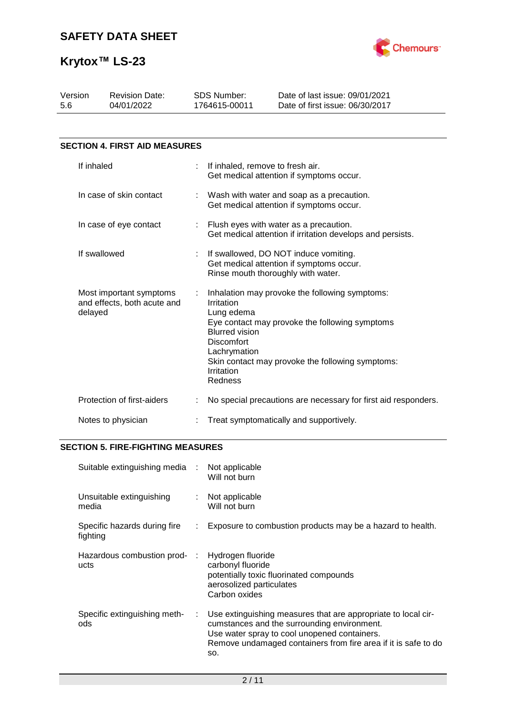

| Version<br>5.6                                                    | <b>Revision Date:</b><br>04/01/2022  |   | SDS Number:<br>1764615-00011                                                                                    | Date of last issue: 09/01/2021<br>Date of first issue: 06/30/2017                                                                                    |  |  |  |
|-------------------------------------------------------------------|--------------------------------------|---|-----------------------------------------------------------------------------------------------------------------|------------------------------------------------------------------------------------------------------------------------------------------------------|--|--|--|
|                                                                   |                                      |   |                                                                                                                 |                                                                                                                                                      |  |  |  |
|                                                                   | <b>SECTION 4. FIRST AID MEASURES</b> |   |                                                                                                                 |                                                                                                                                                      |  |  |  |
|                                                                   | If inhaled                           | ÷ | If inhaled, remove to fresh air.                                                                                | Get medical attention if symptoms occur.                                                                                                             |  |  |  |
|                                                                   | In case of skin contact              |   | Wash with water and soap as a precaution.<br>Get medical attention if symptoms occur.                           |                                                                                                                                                      |  |  |  |
|                                                                   | In case of eye contact               |   | : Flush eyes with water as a precaution.<br>Get medical attention if irritation develops and persists.          |                                                                                                                                                      |  |  |  |
|                                                                   | If swallowed                         |   |                                                                                                                 | If swallowed, DO NOT induce vomiting.<br>Get medical attention if symptoms occur.<br>Rinse mouth thoroughly with water.                              |  |  |  |
| Most important symptoms<br>and effects, both acute and<br>delayed |                                      |   | Irritation<br>Lung edema<br><b>Blurred vision</b><br><b>Discomfort</b><br>Lachrymation<br>Irritation<br>Redness | Inhalation may provoke the following symptoms:<br>Eye contact may provoke the following symptoms<br>Skin contact may provoke the following symptoms: |  |  |  |
|                                                                   | Protection of first-aiders           |   | No special precautions are necessary for first aid responders.                                                  |                                                                                                                                                      |  |  |  |
| Notes to physician                                                |                                      |   | Treat symptomatically and supportively.                                                                         |                                                                                                                                                      |  |  |  |

## **SECTION 5. FIRE-FIGHTING MEASURES**

| Suitable extinguishing media             | $\sim 10$                  | Not applicable<br>Will not burn                                                                                                                                                                                                       |
|------------------------------------------|----------------------------|---------------------------------------------------------------------------------------------------------------------------------------------------------------------------------------------------------------------------------------|
| Unsuitable extinguishing<br>media        | $\mathcal{L}^{\text{max}}$ | Not applicable<br>Will not burn                                                                                                                                                                                                       |
| Specific hazards during fire<br>fighting | ÷.                         | Exposure to combustion products may be a hazard to health.                                                                                                                                                                            |
| Hazardous combustion prod-<br>ucts       | ÷                          | Hydrogen fluoride<br>carbonyl fluoride<br>potentially toxic fluorinated compounds<br>aerosolized particulates<br>Carbon oxides                                                                                                        |
| Specific extinguishing meth-<br>ods      | ÷.                         | Use extinguishing measures that are appropriate to local cir-<br>cumstances and the surrounding environment.<br>Use water spray to cool unopened containers.<br>Remove undamaged containers from fire area if it is safe to do<br>SO. |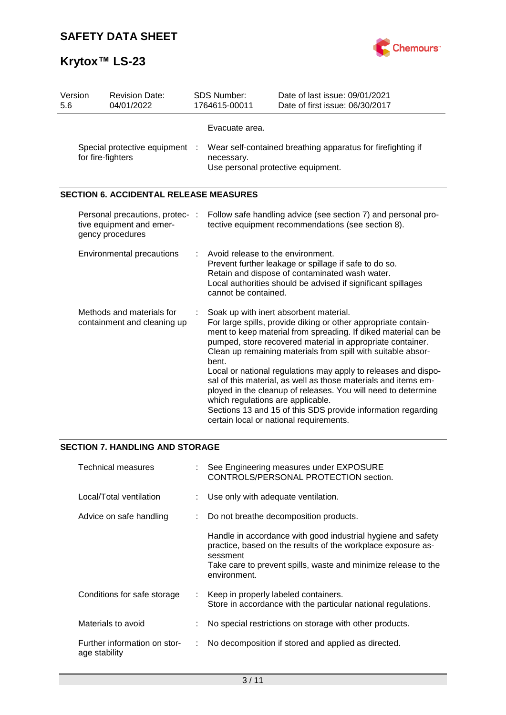

| Version<br>5.6                                      |                                                          | <b>Revision Date:</b><br>04/01/2022                                             | <b>SDS Number:</b><br>1764615-00011                                                                                                                                                                                                  | Date of last issue: 09/01/2021<br>Date of first issue: 06/30/2017                                                                                                                                                                                                                                                                                                                                                                                                                                                                                                                                                        |  |  |  |
|-----------------------------------------------------|----------------------------------------------------------|---------------------------------------------------------------------------------|--------------------------------------------------------------------------------------------------------------------------------------------------------------------------------------------------------------------------------------|--------------------------------------------------------------------------------------------------------------------------------------------------------------------------------------------------------------------------------------------------------------------------------------------------------------------------------------------------------------------------------------------------------------------------------------------------------------------------------------------------------------------------------------------------------------------------------------------------------------------------|--|--|--|
| Special protective equipment :<br>for fire-fighters |                                                          |                                                                                 | Evacuate area.<br>Wear self-contained breathing apparatus for firefighting if<br>necessary.<br>Use personal protective equipment.                                                                                                    |                                                                                                                                                                                                                                                                                                                                                                                                                                                                                                                                                                                                                          |  |  |  |
|                                                     |                                                          | <b>SECTION 6. ACCIDENTAL RELEASE MEASURES</b>                                   |                                                                                                                                                                                                                                      |                                                                                                                                                                                                                                                                                                                                                                                                                                                                                                                                                                                                                          |  |  |  |
|                                                     |                                                          | Personal precautions, protec- :<br>tive equipment and emer-<br>gency procedures |                                                                                                                                                                                                                                      | Follow safe handling advice (see section 7) and personal pro-<br>tective equipment recommendations (see section 8).                                                                                                                                                                                                                                                                                                                                                                                                                                                                                                      |  |  |  |
|                                                     | Environmental precautions                                |                                                                                 | Avoid release to the environment.<br>Prevent further leakage or spillage if safe to do so.<br>Retain and dispose of contaminated wash water.<br>Local authorities should be advised if significant spillages<br>cannot be contained. |                                                                                                                                                                                                                                                                                                                                                                                                                                                                                                                                                                                                                          |  |  |  |
|                                                     | Methods and materials for<br>containment and cleaning up |                                                                                 | bent.<br>which regulations are applicable.                                                                                                                                                                                           | Soak up with inert absorbent material.<br>For large spills, provide diking or other appropriate contain-<br>ment to keep material from spreading. If diked material can be<br>pumped, store recovered material in appropriate container.<br>Clean up remaining materials from spill with suitable absor-<br>Local or national regulations may apply to releases and dispo-<br>sal of this material, as well as those materials and items em-<br>ployed in the cleanup of releases. You will need to determine<br>Sections 13 and 15 of this SDS provide information regarding<br>certain local or national requirements. |  |  |  |

## **SECTION 7. HANDLING AND STORAGE**

| Technical measures                            |  | : See Engineering measures under EXPOSURE<br>CONTROLS/PERSONAL PROTECTION section.                                                                                                                                         |
|-----------------------------------------------|--|----------------------------------------------------------------------------------------------------------------------------------------------------------------------------------------------------------------------------|
| Local/Total ventilation                       |  | : Use only with adequate ventilation.                                                                                                                                                                                      |
| Advice on safe handling                       |  | Do not breathe decomposition products.                                                                                                                                                                                     |
|                                               |  | Handle in accordance with good industrial hygiene and safety<br>practice, based on the results of the workplace exposure as-<br>sessment<br>Take care to prevent spills, waste and minimize release to the<br>environment. |
| Conditions for safe storage                   |  | Keep in properly labeled containers.<br>Store in accordance with the particular national regulations.                                                                                                                      |
| Materials to avoid                            |  | No special restrictions on storage with other products.                                                                                                                                                                    |
| Further information on stor-<br>age stability |  | No decomposition if stored and applied as directed.                                                                                                                                                                        |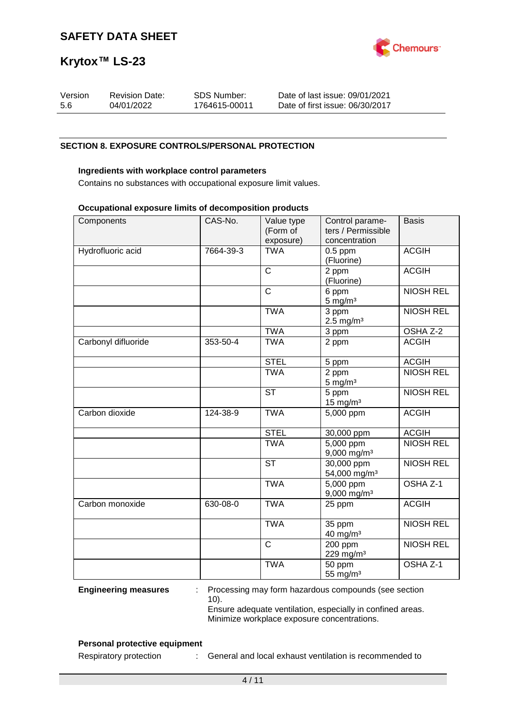

| Version | <b>Revision Date:</b> | SDS Number:   | Date of last issue: 09/01/2021  |
|---------|-----------------------|---------------|---------------------------------|
| -5.6    | 04/01/2022            | 1764615-00011 | Date of first issue: 06/30/2017 |

### **SECTION 8. EXPOSURE CONTROLS/PERSONAL PROTECTION**

#### **Ingredients with workplace control parameters**

Contains no substances with occupational exposure limit values.

#### **Occupational exposure limits of decomposition products**

| Components          | CAS-No.   | Value type<br>(Form of<br>exposure) | Control parame-<br>ters / Permissible<br>concentration | <b>Basis</b>        |
|---------------------|-----------|-------------------------------------|--------------------------------------------------------|---------------------|
| Hydrofluoric acid   | 7664-39-3 | <b>TWA</b>                          | $0.5$ ppm<br>(Fluorine)                                | <b>ACGIH</b>        |
|                     |           | $\mathsf{C}$                        | 2 ppm<br>(Fluorine)                                    | <b>ACGIH</b>        |
|                     |           | $\overline{C}$                      | 6 ppm<br>$5 \text{ mg/m}^3$                            | <b>NIOSH REL</b>    |
|                     |           | <b>TWA</b>                          | 3 ppm<br>$2.5$ mg/m <sup>3</sup>                       | <b>NIOSH REL</b>    |
|                     |           | <b>TWA</b>                          | 3 ppm                                                  | OSHA Z-2            |
| Carbonyl difluoride | 353-50-4  | <b>TWA</b>                          | 2 ppm                                                  | <b>ACGIH</b>        |
|                     |           | <b>STEL</b>                         | 5 ppm                                                  | <b>ACGIH</b>        |
|                     |           | <b>TWA</b>                          | 2 ppm<br>$5 \text{ mg/m}^3$                            | <b>NIOSH REL</b>    |
|                     |           | <b>ST</b>                           | 5 ppm<br>$15$ mg/m <sup>3</sup>                        | <b>NIOSH REL</b>    |
| Carbon dioxide      | 124-38-9  | <b>TWA</b>                          | 5,000 ppm                                              | <b>ACGIH</b>        |
|                     |           | <b>STEL</b>                         | 30,000 ppm                                             | <b>ACGIH</b>        |
|                     |           | <b>TWA</b>                          | $\overline{5,000}$ ppm<br>$9,000$ mg/m <sup>3</sup>    | <b>NIOSH REL</b>    |
|                     |           | <b>ST</b>                           | $\overline{30,000}$ ppm<br>54,000 mg/m <sup>3</sup>    | <b>NIOSH REL</b>    |
|                     |           | <b>TWA</b>                          | 5,000 ppm<br>9,000 mg/m <sup>3</sup>                   | OSHA <sub>Z-1</sub> |
| Carbon monoxide     | 630-08-0  | <b>TWA</b>                          | 25 ppm                                                 | <b>ACGIH</b>        |
|                     |           | <b>TWA</b>                          | 35 ppm<br>$40$ mg/m <sup>3</sup>                       | <b>NIOSH REL</b>    |
|                     |           | $\overline{C}$                      | 200 ppm<br>229 mg/m <sup>3</sup>                       | <b>NIOSH REL</b>    |
|                     |           | <b>TWA</b>                          | 50 ppm<br>55 mg/ $m3$                                  | OSHA <sub>Z-1</sub> |

**Engineering measures** : Processing may form hazardous compounds (see section 10). Ensure adequate ventilation, especially in confined areas.

Minimize workplace exposure concentrations.

### **Personal protective equipment**

Respiratory protection : General and local exhaust ventilation is recommended to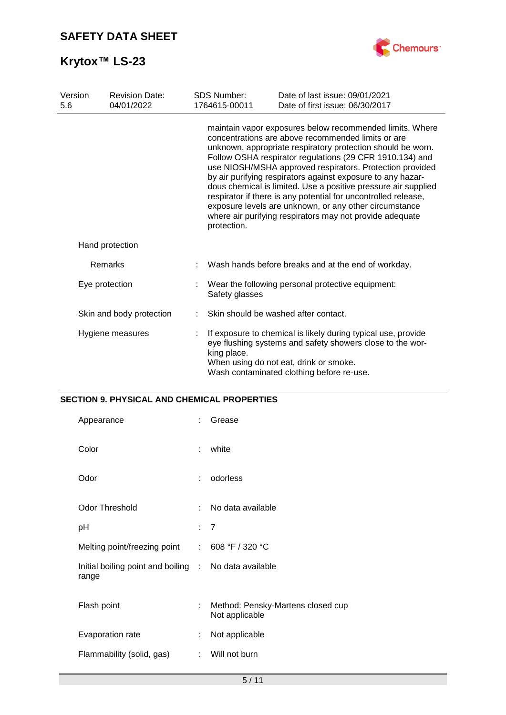

| Version<br>5.6   | <b>Revision Date:</b><br>04/01/2022 | <b>SDS Number:</b><br>1764615-00011                                                                                                                                                                                              | Date of last issue: 09/01/2021<br>Date of first issue: 06/30/2017                                                                                                                                                                                                                                                                                                                                                                                                                                                                                                                                                              |
|------------------|-------------------------------------|----------------------------------------------------------------------------------------------------------------------------------------------------------------------------------------------------------------------------------|--------------------------------------------------------------------------------------------------------------------------------------------------------------------------------------------------------------------------------------------------------------------------------------------------------------------------------------------------------------------------------------------------------------------------------------------------------------------------------------------------------------------------------------------------------------------------------------------------------------------------------|
|                  |                                     | protection.                                                                                                                                                                                                                      | maintain vapor exposures below recommended limits. Where<br>concentrations are above recommended limits or are<br>unknown, appropriate respiratory protection should be worn.<br>Follow OSHA respirator regulations (29 CFR 1910.134) and<br>use NIOSH/MSHA approved respirators. Protection provided<br>by air purifying respirators against exposure to any hazar-<br>dous chemical is limited. Use a positive pressure air supplied<br>respirator if there is any potential for uncontrolled release,<br>exposure levels are unknown, or any other circumstance<br>where air purifying respirators may not provide adequate |
|                  | Hand protection                     |                                                                                                                                                                                                                                  |                                                                                                                                                                                                                                                                                                                                                                                                                                                                                                                                                                                                                                |
|                  | Remarks                             |                                                                                                                                                                                                                                  | Wash hands before breaks and at the end of workday.                                                                                                                                                                                                                                                                                                                                                                                                                                                                                                                                                                            |
| Eye protection   |                                     | Wear the following personal protective equipment:<br>Safety glasses                                                                                                                                                              |                                                                                                                                                                                                                                                                                                                                                                                                                                                                                                                                                                                                                                |
|                  | Skin and body protection            |                                                                                                                                                                                                                                  | Skin should be washed after contact.                                                                                                                                                                                                                                                                                                                                                                                                                                                                                                                                                                                           |
| Hygiene measures |                                     | If exposure to chemical is likely during typical use, provide<br>eye flushing systems and safety showers close to the wor-<br>king place.<br>When using do not eat, drink or smoke.<br>Wash contaminated clothing before re-use. |                                                                                                                                                                                                                                                                                                                                                                                                                                                                                                                                                                                                                                |

## **SECTION 9. PHYSICAL AND CHEMICAL PROPERTIES**

| Appearance                                                     |    | Grease                                              |
|----------------------------------------------------------------|----|-----------------------------------------------------|
| Color                                                          | ÷  | white                                               |
| Odor                                                           |    | odorless                                            |
| <b>Odor Threshold</b>                                          | ÷. | No data available                                   |
| рH                                                             |    | $\overline{7}$                                      |
| Melting point/freezing point                                   | t. | 608 °F / 320 °C                                     |
| Initial boiling point and boiling : No data available<br>range |    |                                                     |
| Flash point                                                    |    | Method: Pensky-Martens closed cup<br>Not applicable |
| Evaporation rate                                               | t  | Not applicable                                      |
| Flammability (solid, gas)                                      | ÷. | Will not burn                                       |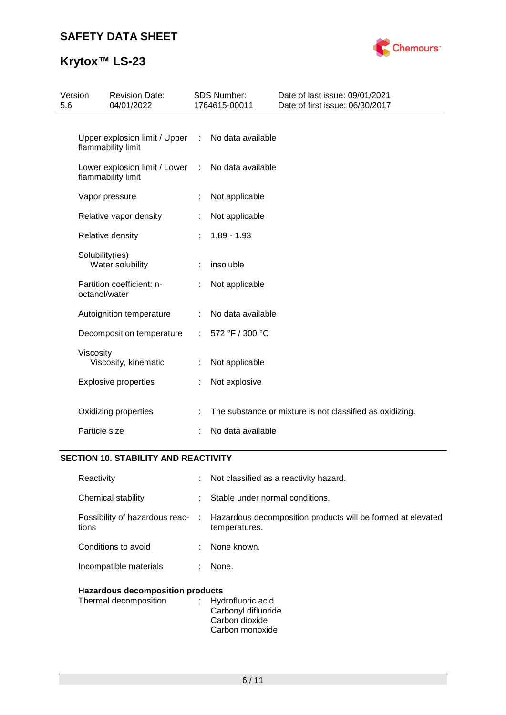# **SAFETY DATA SHEET**



# **Krytox™ LS-23**

| Version<br>5.6 | <b>Revision Date:</b><br>04/01/2022                 |    | SDS Number:<br>1764615-00011 | Date of last issue: 09/01/2021<br>Date of first issue: 06/30/2017 |
|----------------|-----------------------------------------------------|----|------------------------------|-------------------------------------------------------------------|
|                | Upper explosion limit / Upper<br>flammability limit | ÷  | No data available            |                                                                   |
|                | Lower explosion limit / Lower<br>flammability limit | ÷  | No data available            |                                                                   |
|                | Vapor pressure                                      |    | Not applicable               |                                                                   |
|                | Relative vapor density                              | ÷  | Not applicable               |                                                                   |
|                | Relative density                                    |    | $1.89 - 1.93$                |                                                                   |
|                | Solubility(ies)<br>Water solubility                 |    | insoluble                    |                                                                   |
|                | Partition coefficient: n-<br>octanol/water          |    | Not applicable               |                                                                   |
|                | Autoignition temperature                            |    | No data available            |                                                                   |
|                | Decomposition temperature                           | ÷. | 572 °F / 300 °C              |                                                                   |
|                | Viscosity<br>Viscosity, kinematic                   |    | Not applicable               |                                                                   |
|                | <b>Explosive properties</b>                         | ÷. | Not explosive                |                                                                   |
|                | Oxidizing properties                                |    |                              | The substance or mixture is not classified as oxidizing.          |
|                | Particle size                                       |    | No data available            |                                                                   |

## **SECTION 10. STABILITY AND REACTIVITY**

| Reactivity                              |    | $\therefore$ Not classified as a reactivity hazard.                                                           |  |  |  |
|-----------------------------------------|----|---------------------------------------------------------------------------------------------------------------|--|--|--|
| Chemical stability                      |    | Stable under normal conditions.                                                                               |  |  |  |
| tions                                   |    | Possibility of hazardous reac- : Hazardous decomposition products will be formed at elevated<br>temperatures. |  |  |  |
| Conditions to avoid                     |    | : None known.                                                                                                 |  |  |  |
| Incompatible materials                  | ÷. | None.                                                                                                         |  |  |  |
| <b>Hazardous decomposition products</b> |    |                                                                                                               |  |  |  |

| Thermal decomposition | : Hydrofluoric acid |
|-----------------------|---------------------|
|                       | Carbonyl difluoride |
|                       | Carbon dioxide      |
|                       | Carbon monoxide     |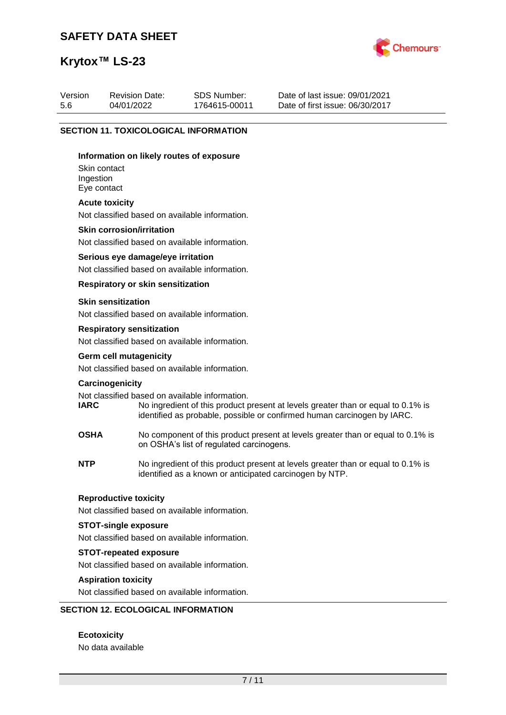## **SAFETY DATA SHEET**

Revision Date: 04/01/2022



Date of last issue: 09/01/2021 Date of first issue: 06/30/2017

# **Krytox™ LS-23**

Version 5.6

|                                                                                                                                                                                                                              |                                                                                      | <b>SECTION 11. TOXICOLOGICAL INFORMATION</b>                                                                                                |  |  |  |  |  |  |
|------------------------------------------------------------------------------------------------------------------------------------------------------------------------------------------------------------------------------|--------------------------------------------------------------------------------------|---------------------------------------------------------------------------------------------------------------------------------------------|--|--|--|--|--|--|
|                                                                                                                                                                                                                              | Information on likely routes of exposure<br>Skin contact<br>Ingestion<br>Eye contact |                                                                                                                                             |  |  |  |  |  |  |
|                                                                                                                                                                                                                              | <b>Acute toxicity</b>                                                                |                                                                                                                                             |  |  |  |  |  |  |
| Not classified based on available information.                                                                                                                                                                               |                                                                                      |                                                                                                                                             |  |  |  |  |  |  |
|                                                                                                                                                                                                                              | <b>Skin corrosion/irritation</b>                                                     |                                                                                                                                             |  |  |  |  |  |  |
|                                                                                                                                                                                                                              | Not classified based on available information.                                       |                                                                                                                                             |  |  |  |  |  |  |
|                                                                                                                                                                                                                              |                                                                                      | Serious eye damage/eye irritation                                                                                                           |  |  |  |  |  |  |
|                                                                                                                                                                                                                              |                                                                                      | Not classified based on available information.                                                                                              |  |  |  |  |  |  |
|                                                                                                                                                                                                                              |                                                                                      | <b>Respiratory or skin sensitization</b>                                                                                                    |  |  |  |  |  |  |
|                                                                                                                                                                                                                              | <b>Skin sensitization</b>                                                            | Not classified based on available information.                                                                                              |  |  |  |  |  |  |
|                                                                                                                                                                                                                              | <b>Respiratory sensitization</b>                                                     |                                                                                                                                             |  |  |  |  |  |  |
|                                                                                                                                                                                                                              |                                                                                      | Not classified based on available information.                                                                                              |  |  |  |  |  |  |
|                                                                                                                                                                                                                              | <b>Germ cell mutagenicity</b>                                                        |                                                                                                                                             |  |  |  |  |  |  |
|                                                                                                                                                                                                                              | Not classified based on available information.                                       |                                                                                                                                             |  |  |  |  |  |  |
| Carcinogenicity                                                                                                                                                                                                              |                                                                                      |                                                                                                                                             |  |  |  |  |  |  |
| Not classified based on available information.<br><b>IARC</b><br>No ingredient of this product present at levels greater than or equal to 0.1% is<br>identified as probable, possible or confirmed human carcinogen by IARC. |                                                                                      |                                                                                                                                             |  |  |  |  |  |  |
|                                                                                                                                                                                                                              | <b>OSHA</b>                                                                          | No component of this product present at levels greater than or equal to 0.1% is<br>on OSHA's list of regulated carcinogens.                 |  |  |  |  |  |  |
|                                                                                                                                                                                                                              | <b>NTP</b>                                                                           | No ingredient of this product present at levels greater than or equal to 0.1% is<br>identified as a known or anticipated carcinogen by NTP. |  |  |  |  |  |  |
|                                                                                                                                                                                                                              | <b>Reproductive toxicity</b><br>Not classified based on available information.       |                                                                                                                                             |  |  |  |  |  |  |
|                                                                                                                                                                                                                              |                                                                                      |                                                                                                                                             |  |  |  |  |  |  |
|                                                                                                                                                                                                                              | <b>STOT-single exposure</b><br>Not classified based on available information.        |                                                                                                                                             |  |  |  |  |  |  |
|                                                                                                                                                                                                                              | <b>STOT-repeated exposure</b>                                                        |                                                                                                                                             |  |  |  |  |  |  |
|                                                                                                                                                                                                                              | Not classified based on available information.                                       |                                                                                                                                             |  |  |  |  |  |  |
|                                                                                                                                                                                                                              | <b>Aspiration toxicity</b>                                                           |                                                                                                                                             |  |  |  |  |  |  |
|                                                                                                                                                                                                                              |                                                                                      | Not classified based on available information.                                                                                              |  |  |  |  |  |  |

SDS Number: 1764615-00011

## **SECTION 12. ECOLOGICAL INFORMATION**

**Ecotoxicity** No data available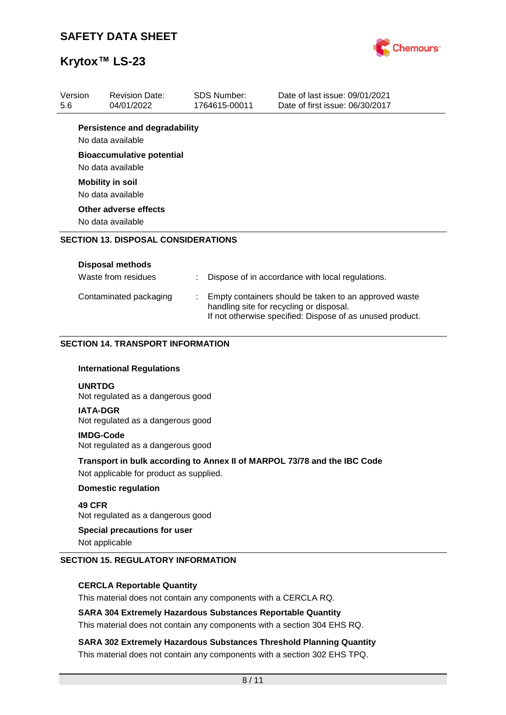

| Version<br>5.6                                        | <b>Revision Date:</b><br>04/01/2022                                                                                 |  | <b>SDS Number:</b><br>1764615-00011 | Date of last issue: 09/01/2021<br>Date of first issue: 06/30/2017                                                                                              |  |  |  |
|-------------------------------------------------------|---------------------------------------------------------------------------------------------------------------------|--|-------------------------------------|----------------------------------------------------------------------------------------------------------------------------------------------------------------|--|--|--|
|                                                       | <b>Persistence and degradability</b>                                                                                |  |                                     |                                                                                                                                                                |  |  |  |
|                                                       | No data available                                                                                                   |  |                                     |                                                                                                                                                                |  |  |  |
| <b>Bioaccumulative potential</b><br>No data available |                                                                                                                     |  |                                     |                                                                                                                                                                |  |  |  |
|                                                       | <b>Mobility in soil</b>                                                                                             |  |                                     |                                                                                                                                                                |  |  |  |
|                                                       | No data available                                                                                                   |  |                                     |                                                                                                                                                                |  |  |  |
| Other adverse effects<br>No data available            |                                                                                                                     |  |                                     |                                                                                                                                                                |  |  |  |
|                                                       | <b>SECTION 13. DISPOSAL CONSIDERATIONS</b>                                                                          |  |                                     |                                                                                                                                                                |  |  |  |
|                                                       | <b>Disposal methods</b>                                                                                             |  |                                     |                                                                                                                                                                |  |  |  |
|                                                       | Waste from residues                                                                                                 |  |                                     | Dispose of in accordance with local regulations.                                                                                                               |  |  |  |
|                                                       | Contaminated packaging                                                                                              |  |                                     | Empty containers should be taken to an approved waste<br>handling site for recycling or disposal.<br>If not otherwise specified: Dispose of as unused product. |  |  |  |
|                                                       | <b>SECTION 14. TRANSPORT INFORMATION</b>                                                                            |  |                                     |                                                                                                                                                                |  |  |  |
|                                                       | <b>International Regulations</b>                                                                                    |  |                                     |                                                                                                                                                                |  |  |  |
|                                                       | <b>UNRTDG</b><br>Not regulated as a dangerous good                                                                  |  |                                     |                                                                                                                                                                |  |  |  |
|                                                       | <b>IATA-DGR</b><br>Not regulated as a dangerous good                                                                |  |                                     |                                                                                                                                                                |  |  |  |
|                                                       | <b>IMDG-Code</b><br>Not regulated as a dangerous good                                                               |  |                                     |                                                                                                                                                                |  |  |  |
|                                                       | Transport in bulk according to Annex II of MARPOL 73/78 and the IBC Code<br>Not applicable for product as supplied. |  |                                     |                                                                                                                                                                |  |  |  |
|                                                       | <b>Domestic regulation</b>                                                                                          |  |                                     |                                                                                                                                                                |  |  |  |
|                                                       | 49 CFR<br>Not regulated as a dangerous good                                                                         |  |                                     |                                                                                                                                                                |  |  |  |
|                                                       | <b>Special precautions for user</b>                                                                                 |  |                                     |                                                                                                                                                                |  |  |  |

Not applicable

### **SECTION 15. REGULATORY INFORMATION**

### **CERCLA Reportable Quantity**

This material does not contain any components with a CERCLA RQ.

### **SARA 304 Extremely Hazardous Substances Reportable Quantity**

This material does not contain any components with a section 304 EHS RQ.

**SARA 302 Extremely Hazardous Substances Threshold Planning Quantity** This material does not contain any components with a section 302 EHS TPQ.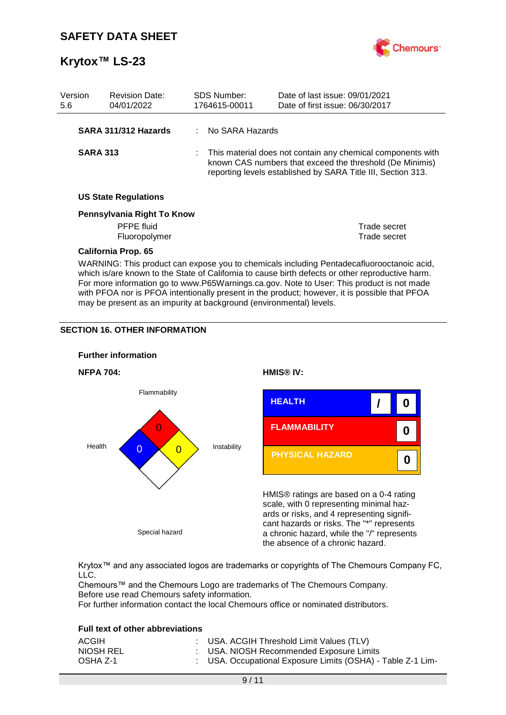

| Version<br>5.6             |                                                                                                                                                                                                                                                                                            | <b>Revision Date:</b><br>04/01/2022 |  | <b>SDS Number:</b><br>1764615-00011                                                                                                                                                       | Date of last issue: 09/01/2021<br>Date of first issue: 06/30/2017 |  |
|----------------------------|--------------------------------------------------------------------------------------------------------------------------------------------------------------------------------------------------------------------------------------------------------------------------------------------|-------------------------------------|--|-------------------------------------------------------------------------------------------------------------------------------------------------------------------------------------------|-------------------------------------------------------------------|--|
|                            |                                                                                                                                                                                                                                                                                            | SARA 311/312 Hazards                |  | No SARA Hazards                                                                                                                                                                           |                                                                   |  |
|                            | <b>SARA 313</b>                                                                                                                                                                                                                                                                            |                                     |  | : This material does not contain any chemical components with<br>known CAS numbers that exceed the threshold (De Minimis)<br>reporting levels established by SARA Title III, Section 313. |                                                                   |  |
|                            | <b>US State Regulations</b>                                                                                                                                                                                                                                                                |                                     |  |                                                                                                                                                                                           |                                                                   |  |
| Pennsylvania Right To Know |                                                                                                                                                                                                                                                                                            |                                     |  |                                                                                                                                                                                           |                                                                   |  |
|                            | <b>PFPE</b> fluid                                                                                                                                                                                                                                                                          |                                     |  |                                                                                                                                                                                           | Trade secret                                                      |  |
|                            | Fluoropolymer                                                                                                                                                                                                                                                                              |                                     |  |                                                                                                                                                                                           | Trade secret                                                      |  |
|                            |                                                                                                                                                                                                                                                                                            | <b>California Prop. 65</b>          |  |                                                                                                                                                                                           |                                                                   |  |
|                            | WARNING: This product can expose you to chemicals including Pentadecafluorooctanoic acid,<br>which is/are known to the State of California to cause birth defects or other reproductive harm.<br>For more information go to www.P65Warnings.ca.gov. Note to User: This product is not made |                                     |  |                                                                                                                                                                                           |                                                                   |  |

with PFOA nor is PFOA intentionally present in the product; however, it is possible that PFOA

may be present as an impurity at background (environmental) levels.

## **SECTION 16. OTHER INFORMATION**



Krytox™ and any associated logos are trademarks or copyrights of The Chemours Company FC, LLC.

Chemours™ and the Chemours Logo are trademarks of The Chemours Company. Before use read Chemours safety information.

For further information contact the local Chemours office or nominated distributors.

### **Full text of other abbreviations**

| ACGIH     | : USA. ACGIH Threshold Limit Values (TLV)                   |
|-----------|-------------------------------------------------------------|
| NIOSH REL | : USA. NIOSH Recommended Exposure Limits                    |
| OSHA Z-1  | : USA. Occupational Exposure Limits (OSHA) - Table Z-1 Lim- |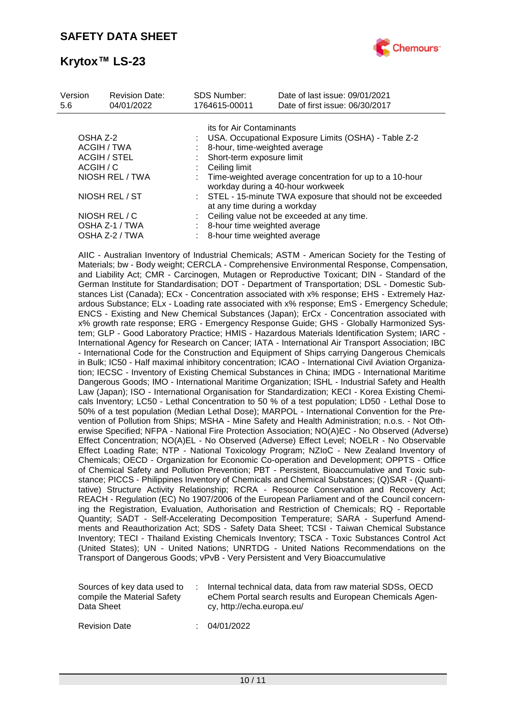

| Version<br>5.6      | <b>Revision Date:</b><br>04/01/2022 | <b>SDS Number:</b><br>1764615-00011                                                         | Date of last issue: 09/01/2021<br>Date of first issue: 06/30/2017                              |  |  |  |
|---------------------|-------------------------------------|---------------------------------------------------------------------------------------------|------------------------------------------------------------------------------------------------|--|--|--|
|                     |                                     | its for Air Contaminants                                                                    |                                                                                                |  |  |  |
| OSHA Z-2            |                                     | USA. Occupational Exposure Limits (OSHA) - Table Z-2                                        |                                                                                                |  |  |  |
| ACGIH / TWA         |                                     |                                                                                             | 8-hour, time-weighted average                                                                  |  |  |  |
| <b>ACGIH / STEL</b> |                                     | Short-term exposure limit                                                                   |                                                                                                |  |  |  |
| ACGIH / C           |                                     | Ceiling limit                                                                               |                                                                                                |  |  |  |
| NIOSH REL / TWA     |                                     |                                                                                             | : Time-weighted average concentration for up to a 10-hour<br>workday during a 40-hour workweek |  |  |  |
| NIOSH REL / ST      |                                     | : STEL - 15-minute TWA exposure that should not be exceeded<br>at any time during a workday |                                                                                                |  |  |  |
|                     | NIOSH REL / C                       |                                                                                             | Ceiling value not be exceeded at any time.                                                     |  |  |  |
|                     | OSHA Z-1 / TWA                      | 8-hour time weighted average                                                                |                                                                                                |  |  |  |
|                     | OSHA Z-2 / TWA                      | 8-hour time weighted average                                                                |                                                                                                |  |  |  |

AIIC - Australian Inventory of Industrial Chemicals; ASTM - American Society for the Testing of Materials; bw - Body weight; CERCLA - Comprehensive Environmental Response, Compensation, and Liability Act; CMR - Carcinogen, Mutagen or Reproductive Toxicant; DIN - Standard of the German Institute for Standardisation; DOT - Department of Transportation; DSL - Domestic Substances List (Canada); ECx - Concentration associated with x% response; EHS - Extremely Hazardous Substance; ELx - Loading rate associated with x% response; EmS - Emergency Schedule; ENCS - Existing and New Chemical Substances (Japan); ErCx - Concentration associated with x% growth rate response; ERG - Emergency Response Guide; GHS - Globally Harmonized System; GLP - Good Laboratory Practice; HMIS - Hazardous Materials Identification System; IARC - International Agency for Research on Cancer; IATA - International Air Transport Association; IBC - International Code for the Construction and Equipment of Ships carrying Dangerous Chemicals in Bulk; IC50 - Half maximal inhibitory concentration; ICAO - International Civil Aviation Organization; IECSC - Inventory of Existing Chemical Substances in China; IMDG - International Maritime Dangerous Goods; IMO - International Maritime Organization; ISHL - Industrial Safety and Health Law (Japan); ISO - International Organisation for Standardization; KECI - Korea Existing Chemicals Inventory; LC50 - Lethal Concentration to 50 % of a test population; LD50 - Lethal Dose to 50% of a test population (Median Lethal Dose); MARPOL - International Convention for the Prevention of Pollution from Ships; MSHA - Mine Safety and Health Administration; n.o.s. - Not Otherwise Specified; NFPA - National Fire Protection Association; NO(A)EC - No Observed (Adverse) Effect Concentration; NO(A)EL - No Observed (Adverse) Effect Level; NOELR - No Observable Effect Loading Rate; NTP - National Toxicology Program; NZIoC - New Zealand Inventory of Chemicals; OECD - Organization for Economic Co-operation and Development; OPPTS - Office of Chemical Safety and Pollution Prevention; PBT - Persistent, Bioaccumulative and Toxic substance; PICCS - Philippines Inventory of Chemicals and Chemical Substances; (Q)SAR - (Quantitative) Structure Activity Relationship; RCRA - Resource Conservation and Recovery Act; REACH - Regulation (EC) No 1907/2006 of the European Parliament and of the Council concerning the Registration, Evaluation, Authorisation and Restriction of Chemicals; RQ - Reportable Quantity; SADT - Self-Accelerating Decomposition Temperature; SARA - Superfund Amendments and Reauthorization Act; SDS - Safety Data Sheet; TCSI - Taiwan Chemical Substance Inventory; TECI - Thailand Existing Chemicals Inventory; TSCA - Toxic Substances Control Act (United States); UN - United Nations; UNRTDG - United Nations Recommendations on the Transport of Dangerous Goods; vPvB - Very Persistent and Very Bioaccumulative

| Sources of key data used to<br>compile the Material Safety<br>Data Sheet |  | Internal technical data, data from raw material SDSs, OECD<br>eChem Portal search results and European Chemicals Agen-<br>cy, http://echa.europa.eu/ |
|--------------------------------------------------------------------------|--|------------------------------------------------------------------------------------------------------------------------------------------------------|
|--------------------------------------------------------------------------|--|------------------------------------------------------------------------------------------------------------------------------------------------------|

Revision Date : 04/01/2022